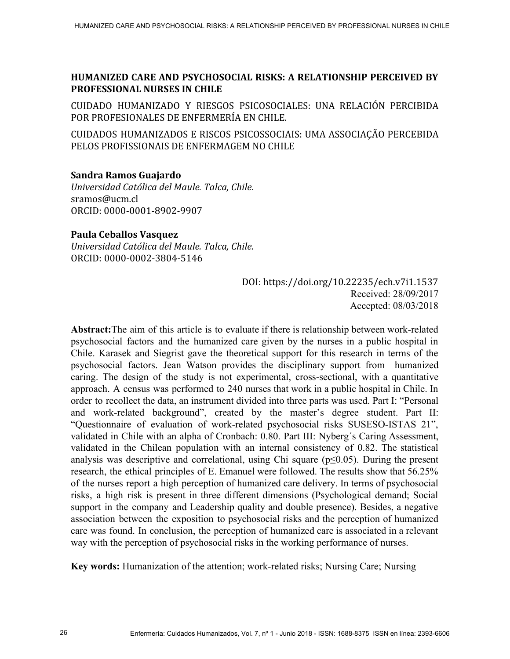# **HUMANIZED CARE AND PSYCHOSOCIAL RISKS: A RELATIONSHIP PERCEIVED BY PROFESSIONAL NURSES IN CHILE**

CUIDADO HUMANIZADO Y RIESGOS PSICOSOCIALES: UNA RELACIÓN PERCIBIDA POR PROFESIONALES DE ENFERMERÍA EN CHILE.

CUIDADOS HUMANIZADOS E RISCOS PSICOSSOCIAIS: UMA ASSOCIAÇÃO PERCEBIDA PELOS PROFISSIONAIS DE ENFERMAGEM NO CHILE

## **Sandra Ramos Guajardo**

*Universidad Católica del Maule. Talca, Chile.*  sramos@ucm.cl ORCID: 0000-0001-8902-9907

## **Paula Ceballos Vasquez**

*Universidad Católica del Maule. Talca, Chile.*  ORCID: 0000-0002-3804-5146

> DOI: https://doi.org/10.22235/ech.v7i1.1537 Received: 28/09/2017 Accepted: 08/03/2018

**Abstract:**The aim of this article is to evaluate if there is relationship between work-related psychosocial factors and the humanized care given by the nurses in a public hospital in Chile. Karasek and Siegrist gave the theoretical support for this research in terms of the psychosocial factors. Jean Watson provides the disciplinary support from humanized caring. The design of the study is not experimental, cross-sectional, with a quantitative approach. A census was performed to 240 nurses that work in a public hospital in Chile. In order to recollect the data, an instrument divided into three parts was used. Part I: "Personal and work-related background", created by the master's degree student. Part II: "Questionnaire of evaluation of work-related psychosocial risks SUSESO-ISTAS 21", validated in Chile with an alpha of Cronbach: 0.80. Part III: Nyberg´s Caring Assessment, validated in the Chilean population with an internal consistency of 0.82. The statistical analysis was descriptive and correlational, using Chi square ( $p \le 0.05$ ). During the present research, the ethical principles of E. Emanuel were followed. The results show that 56.25% of the nurses report a high perception of humanized care delivery. In terms of psychosocial risks, a high risk is present in three different dimensions (Psychological demand; Social support in the company and Leadership quality and double presence). Besides, a negative association between the exposition to psychosocial risks and the perception of humanized care was found. In conclusion, the perception of humanized care is associated in a relevant way with the perception of psychosocial risks in the working performance of nurses.

**Key words:** Humanization of the attention; work-related risks; Nursing Care; Nursing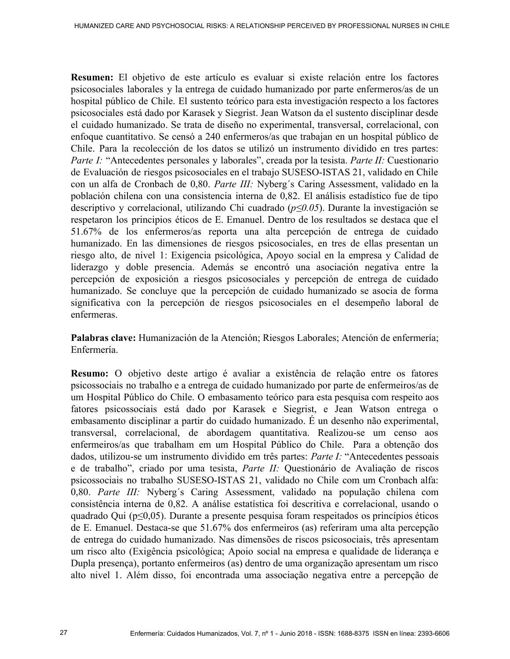**Resumen:** El objetivo de este artículo es evaluar si existe relación entre los factores psicosociales laborales y la entrega de cuidado humanizado por parte enfermeros/as de un hospital público de Chile. El sustento teórico para esta investigación respecto a los factores psicosociales está dado por Karasek y Siegrist. Jean Watson da el sustento disciplinar desde el cuidado humanizado. Se trata de diseño no experimental, transversal, correlacional, con enfoque cuantitativo. Se censó a 240 enfermeros/as que trabajan en un hospital público de Chile. Para la recolección de los datos se utilizó un instrumento dividido en tres partes: *Parte I:* "Antecedentes personales y laborales", creada por la tesista. *Parte II:* Cuestionario de Evaluación de riesgos psicosociales en el trabajo SUSESO-ISTAS 21, validado en Chile con un alfa de Cronbach de 0,80. *Parte III:* Nyberg´s Caring Assessment, validado en la población chilena con una consistencia interna de 0,82. El análisis estadístico fue de tipo descriptivo y correlacional, utilizando Chi cuadrado ( *p≤0.05*). Durante la investigación se respetaron los principios éticos de E. Emanuel. Dentro de los resultados se destaca que el 51.67% de los enfermeros/as reporta una alta percepción de entrega de cuidado humanizado. En las dimensiones de riesgos psicosociales, en tres de ellas presentan un riesgo alto, de nivel 1: Exigencia psicológica, Apoyo social en la empresa y Calidad de liderazgo y doble presencia. Además se encontró una asociación negativa entre la percepción de exposición a riesgos psicosociales y percepción de entrega de cuidado humanizado. Se concluye que la percepción de cuidado humanizado se asocia de forma significativa con la percepción de riesgos psicosociales en el desempeño laboral de enfermeras.

**Palabras clave:** Humanización de la Atención; Riesgos Laborales; Atención de enfermería; Enfermería.

**Resumo:** O objetivo deste artigo é avaliar a existência de relação entre os fatores psicossociais no trabalho e a entrega de cuidado humanizado por parte de enfermeiros/as de um Hospital Público do Chile. O embasamento teórico para esta pesquisa com respeito aos fatores psicossociais está dado por Karasek e Siegrist, e Jean Watson entrega o embasamento disciplinar a partir do cuidado humanizado. É un desenho não experimental, transversal, correlacional, de abordagem quantitativa. Realizou-se um censo aos enfermeiros/as que trabalham em um Hospital Público do Chile. Para a obtenção dos dados, utilizou-se um instrumento dividido em três partes: *Parte I:* "Antecedentes pessoais e de trabalho", criado por uma tesista, *Parte II:* Questionário de Avaliação de riscos psicossociais no trabalho SUSESO-ISTAS 21, validado no Chile com um Cronbach alfa: 0,80. *Parte III:* Nyberg´s Caring Assessment, validado na população chilena com consistência interna de 0,82. A análise estatística foi descritiva e correlacional, usando o quadrado Qui (p≤0,05). Durante a presente pesquisa foram respeitados os princípios éticos de E. Emanuel. Destaca-se que 51.67% dos enfermeiros (as) referiram uma alta percepção de entrega do cuidado humanizado. Nas dimensões de riscos psicosociais, três apresentam um risco alto (Exigência psicológica; Apoio social na empresa e qualidade de liderança e Dupla presença), portanto enfermeiros (as) dentro de uma organização apresentam um risco alto nivel 1. Além disso, foi encontrada uma associação negativa entre a percepção de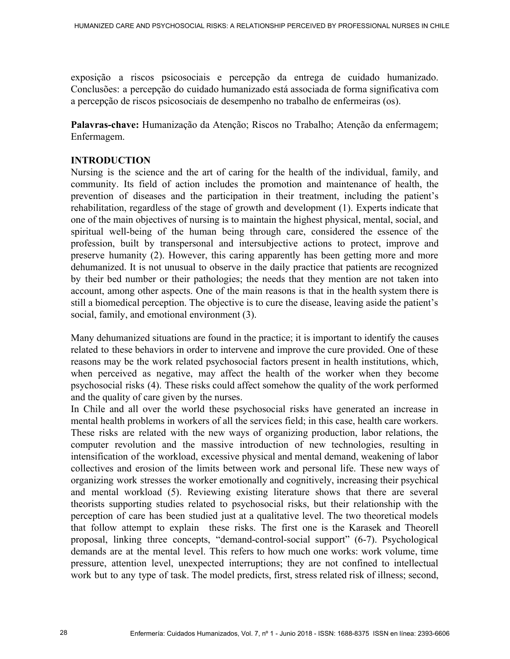exposição a riscos psicosociais e percepção da entrega de cuidado humanizado. Conclusões: a percepção do cuidado humanizado está associada de forma significativa com a percepção de riscos psicosociais de desempenho no trabalho de enfermeiras (os).

**Palavras-chave:** Humanização da Atenção; Riscos no Trabalho; Atenção da enfermagem; Enfermagem.

# **INTRODUCTION**

Nursing is the science and the art of caring for the health of the individual, family, and community. Its field of action includes the promotion and maintenance of health, the prevention of diseases and the participation in their treatment, including the patient's rehabilitation, regardless of the stage of growth and development (1). Experts indicate that one of the main objectives of nursing is to maintain the highest physical, mental, social, and spiritual well-being of the human being through care, considered the essence of the profession, built by transpersonal and intersubjective actions to protect, improve and preserve humanity (2). However, this caring apparently has been getting more and more dehumanized. It is not unusual to observe in the daily practice that patients are recognized by their bed number or their pathologies; the needs that they mention are not taken into account, among other aspects. One of the main reasons is that in the health system there is still a biomedical perception. The objective is to cure the disease, leaving aside the patient's social, family, and emotional environment (3).

Many dehumanized situations are found in the practice; it is important to identify the causes related to these behaviors in order to intervene and improve the cure provided. One of these reasons may be the work related psychosocial factors present in health institutions, which, when perceived as negative, may affect the health of the worker when they become psychosocial risks (4). These risks could affect somehow the quality of the work performed and the quality of care given by the nurses.

In Chile and all over the world these psychosocial risks have generated an increase in mental health problems in workers of all the services field; in this case, health care workers. These risks are related with the new ways of organizing production, labor relations, the computer revolution and the massive introduction of new technologies, resulting in intensification of the workload, excessive physical and mental demand, weakening of labor collectives and erosion of the limits between work and personal life. These new ways of organizing work stresses the worker emotionally and cognitively, increasing their psychical and mental workload (5). Reviewing existing literature shows that there are several theorists supporting studies related to psychosocial risks, but their relationship with the perception of care has been studied just at a qualitative level. The two theoretical models that follow attempt to explain these risks. The first one is the Karasek and Theorell proposal, linking three concepts, "demand-control-social support" (6-7). Psychological demands are at the mental level. This refers to how much one works: work volume, time pressure, attention level, unexpected interruptions; they are not confined to intellectual work but to any type of task. The model predicts, first, stress related risk of illness; second,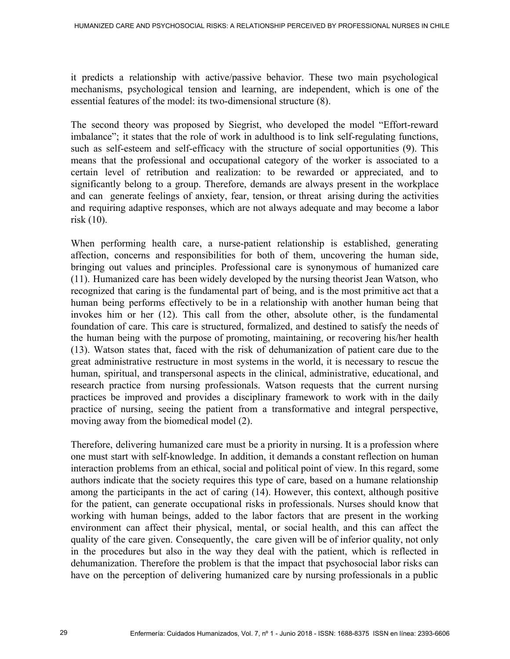it predicts a relationship with active/passive behavior. These two main psychological mechanisms, psychological tension and learning, are independent, which is one of the essential features of the model: its two-dimensional structure (8).

The second theory was proposed by Siegrist, who developed the model "Effort-reward imbalance"; it states that the role of work in adulthood is to link self-regulating functions, such as self-esteem and self-efficacy with the structure of social opportunities (9). This means that the professional and occupational category of the worker is associated to a certain level of retribution and realization: to be rewarded or appreciated, and to significantly belong to a group. Therefore, demands are always present in the workplace and can generate feelings of anxiety, fear, tension, or threat arising during the activities and requiring adaptive responses, which are not always adequate and may become a labor risk (10).

When performing health care, a nurse-patient relationship is established, generating affection, concerns and responsibilities for both of them, uncovering the human side, bringing out values and principles. Professional care is synonymous of humanized care (11). Humanized care has been widely developed by the nursing theorist Jean Watson, who recognized that caring is the fundamental part of being, and is the most primitive act that a human being performs effectively to be in a relationship with another human being that invokes him or her (12). This call from the other, absolute other, is the fundamental foundation of care. This care is structured, formalized, and destined to satisfy the needs of the human being with the purpose of promoting, maintaining, or recovering his/her health (13). Watson states that, faced with the risk of dehumanization of patient care due to the great administrative restructure in most systems in the world, it is necessary to rescue the human, spiritual, and transpersonal aspects in the clinical, administrative, educational, and research practice from nursing professionals. Watson requests that the current nursing practices be improved and provides a disciplinary framework to work with in the daily practice of nursing, seeing the patient from a transformative and integral perspective, moving away from the biomedical model (2).

Therefore, delivering humanized care must be a priority in nursing. It is a profession where one must start with self-knowledge. In addition, it demands a constant reflection on human interaction problems from an ethical, social and political point of view. In this regard, some authors indicate that the society requires this type of care, based on a humane relationship among the participants in the act of caring (14). However, this context, although positive for the patient, can generate occupational risks in professionals. Nurses should know that working with human beings, added to the labor factors that are present in the working environment can affect their physical, mental, or social health, and this can affect the quality of the care given. Consequently, the care given will be of inferior quality, not only in the procedures but also in the way they deal with the patient, which is reflected in dehumanization. Therefore the problem is that the impact that psychosocial labor risks can have on the perception of delivering humanized care by nursing professionals in a public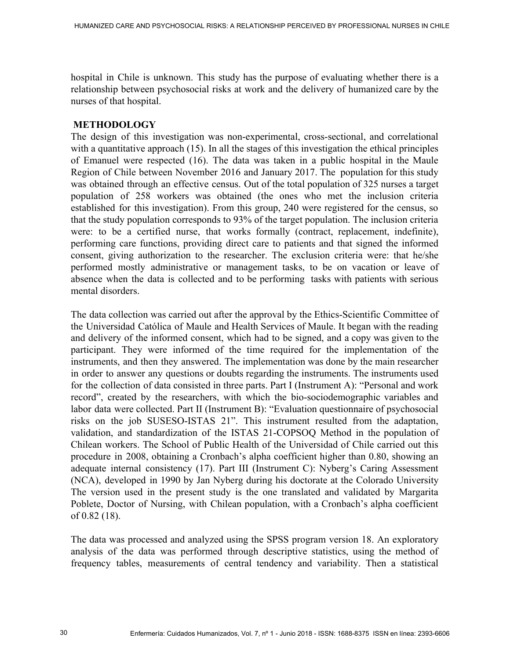hospital in Chile is unknown. This study has the purpose of evaluating whether there is a relationship between psychosocial risks at work and the delivery of humanized care by the nurses of that hospital.

## **METHODOLOGY**

The design of this investigation was non-experimental, cross-sectional, and correlational with a quantitative approach (15). In all the stages of this investigation the ethical principles of Emanuel were respected (16). The data was taken in a public hospital in the Maule Region of Chile between November 2016 and January 2017. The population for this study was obtained through an effective census. Out of the total population of 325 nurses a target population of 258 workers was obtained (the ones who met the inclusion criteria established for this investigation). From this group, 240 were registered for the census, so that the study population corresponds to 93% of the target population. The inclusion criteria were: to be a certified nurse, that works formally (contract, replacement, indefinite), performing care functions, providing direct care to patients and that signed the informed consent, giving authorization to the researcher. The exclusion criteria were: that he/she performed mostly administrative or management tasks, to be on vacation or leave of absence when the data is collected and to be performing tasks with patients with serious mental disorders.

The data collection was carried out after the approval by the Ethics-Scientific Committee of the Universidad Católica of Maule and Health Services of Maule. It began with the reading and delivery of the informed consent, which had to be signed, and a copy was given to the participant. They were informed of the time required for the implementation of the instruments, and then they answered. The implementation was done by the main researcher in order to answer any questions or doubts regarding the instruments. The instruments used for the collection of data consisted in three parts. Part I (Instrument A): "Personal and work record", created by the researchers, with which the bio-sociodemographic variables and labor data were collected. Part II (Instrument B): "Evaluation questionnaire of psychosocial risks on the job SUSESO-ISTAS 21". This instrument resulted from the adaptation, validation, and standardization of the ISTAS 21-COPSOQ Method in the population of Chilean workers. The School of Public Health of the Universidad of Chile carried out this procedure in 2008, obtaining a Cronbach's alpha coefficient higher than 0.80, showing an adequate internal consistency (17). Part III (Instrument C): Nyberg's Caring Assessment (NCA), developed in 1990 by Jan Nyberg during his doctorate at the Colorado University The version used in the present study is the one translated and validated by Margarita Poblete, Doctor of Nursing, with Chilean population, with a Cronbach's alpha coefficient of 0.82 (18).

The data was processed and analyzed using the SPSS program version 18. An exploratory analysis of the data was performed through descriptive statistics, using the method of frequency tables, measurements of central tendency and variability. Then a statistical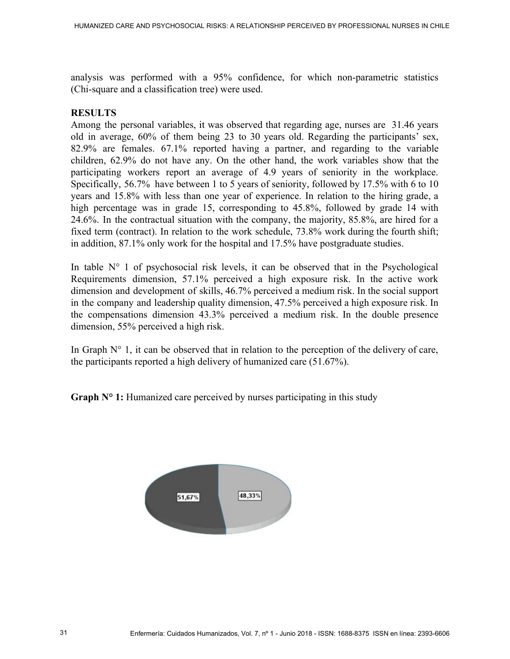analysis was performed with a 95% confidence, for which non-parametric statistics (Chi-square and a classification tree) were used.

## **RESULTS**

Among the personal variables, it was observed that regarding age, nurses are 31.46 years old in average, 60% of them being 23 to 30 years old. Regarding the participants' sex, 82.9% are females. 67.1% reported having a partner, and regarding to the variable children, 62.9% do not have any. On the other hand, the work variables show that the participating workers report an average of 4.9 years of seniority in the workplace. Specifically, 56.7% have between 1 to 5 years of seniority, followed by 17.5% with 6 to 10 years and 15.8% with less than one year of experience. In relation to the hiring grade, a high percentage was in grade 15, corresponding to 45.8%, followed by grade 14 with 24.6%. In the contractual situation with the company, the majority, 85.8%, are hired for a fixed term (contract). In relation to the work schedule, 73.8% work during the fourth shift; in addition, 87.1% only work for the hospital and 17.5% have postgraduate studies.

In table  $N^{\circ}$  1 of psychosocial risk levels, it can be observed that in the Psychological Requirements dimension, 57.1% perceived a high exposure risk. In the active work dimension and development of skills, 46.7% perceived a medium risk. In the social support in the company and leadership quality dimension, 47.5% perceived a high exposure risk. In the compensations dimension 43.3% perceived a medium risk. In the double presence dimension, 55% perceived a high risk.

In Graph  $N^{\circ}$  1, it can be observed that in relation to the perception of the delivery of care, the participants reported a high delivery of humanized care (51.67%).

**Graph N° 1:** Humanized care perceived by nurses participating in this study

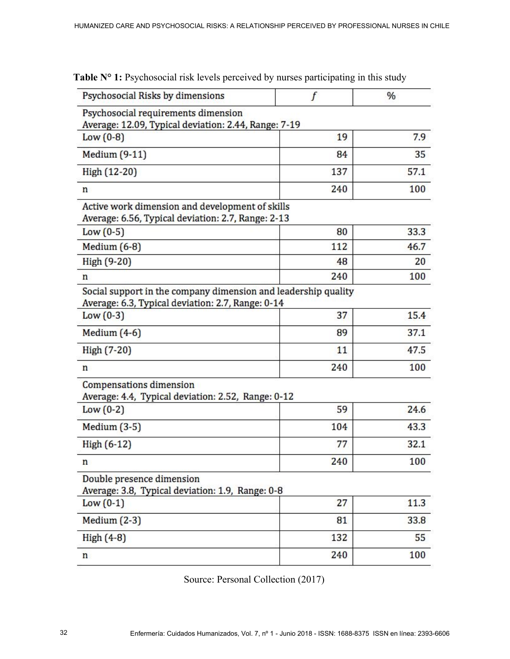| Psychosocial Risks by dimensions                                                                                    |     | $\%$       |
|---------------------------------------------------------------------------------------------------------------------|-----|------------|
| Psychosocial requirements dimension<br>Average: 12.09, Typical deviation: 2.44, Range: 7-19                         |     |            |
| Low $(0-8)$                                                                                                         | 19  | 7.9        |
| Medium (9-11)                                                                                                       | 84  | 35         |
| High (12-20)                                                                                                        | 137 | 57.1       |
| n                                                                                                                   | 240 | 100        |
| Active work dimension and development of skills<br>Average: 6.56, Typical deviation: 2.7, Range: 2-13               |     |            |
| Low $(0-5)$                                                                                                         | 80  | 33.3       |
| Medium $(6-8)$                                                                                                      | 112 | 46.7       |
| High (9-20)                                                                                                         | 48  | 20         |
| n                                                                                                                   | 240 | 100        |
| Social support in the company dimension and leadership quality<br>Average: 6.3, Typical deviation: 2.7, Range: 0-14 |     |            |
| Low $(0-3)$                                                                                                         | 37  | 15.4       |
| Medium $(4-6)$                                                                                                      | 89  | 37.1       |
| High (7-20)                                                                                                         | 11  | 47.5       |
| n                                                                                                                   | 240 | 100        |
| <b>Compensations dimension</b><br>Average: 4.4, Typical deviation: 2.52, Range: 0-12                                |     |            |
| Low $(0-2)$                                                                                                         | 59  | 24.6       |
| Medium $(3-5)$                                                                                                      | 104 | 43.3       |
| High (6-12)                                                                                                         | 77  | 32.1       |
| n                                                                                                                   | 240 | 100        |
| Double presence dimension<br>Average: 3.8, Typical deviation: 1.9, Range: 0-8                                       |     |            |
| Low $(0-1)$                                                                                                         | 27  |            |
|                                                                                                                     |     | 11.3       |
| Medium $(2-3)$                                                                                                      | 81  |            |
| High $(4-8)$                                                                                                        | 132 | 33.8<br>55 |

Table N° 1: Psychosocial risk levels perceived by nurses participating in this study

Source: Personal Collection (2017)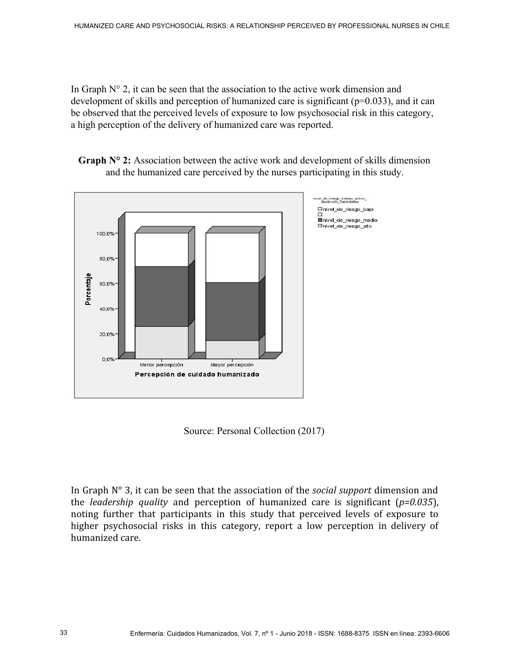In Graph  $N^{\circ}$  2, it can be seen that the association to the active work dimension and development of skills and perception of humanized care is significant  $(p=0.033)$ , and it can be observed that the perceived levels of exposure to low psychosocial risk in this category, a high perception of the delivery of humanized care was reported.

**Graph N° 2:** Association between the active work and development of skills dimension and the humanized care perceived by the nurses participating in this study.



Source: Personal Collection (2017)

In Graph N° 3, it can be seen that the association of the *social support* dimension and the *leadership quality* and perception of humanized care is significant (*p=0.035*), noting further that participants in this study that perceived levels of exposure to higher psychosocial risks in this category, report a low perception in delivery of humanized care.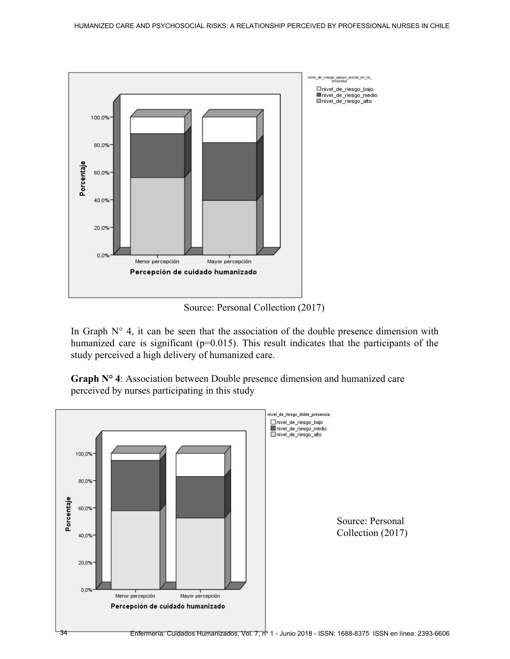

Source: Personal Collection (2017)

In Graph  $N^{\circ}$  4, it can be seen that the association of the double presence dimension with humanized care is significant (p=0.015). This result indicates that the participants of the study perceived a high delivery of humanized care.

**Graph N° 4**: Association between Double presence dimension and humanized care perceived by nurses participating in this study

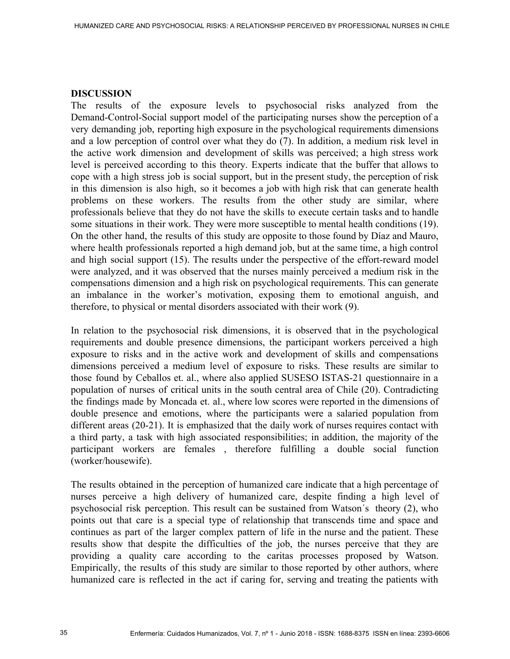#### **DISCUSSION**

The results of the exposure levels to psychosocial risks analyzed from the Demand-Control-Social support model of the participating nurses show the perception of a very demanding job, reporting high exposure in the psychological requirements dimensions and a low perception of control over what they do (7). In addition, a medium risk level in the active work dimension and development of skills was perceived; a high stress work level is perceived according to this theory. Experts indicate that the buffer that allows to cope with a high stress job is social support, but in the present study, the perception of risk in this dimension is also high, so it becomes a job with high risk that can generate health problems on these workers. The results from the other study are similar, where professionals believe that they do not have the skills to execute certain tasks and to handle some situations in their work. They were more susceptible to mental health conditions (19). On the other hand, the results of this study are opposite to those found by Díaz and Mauro, where health professionals reported a high demand job, but at the same time, a high control and high social support (15). The results under the perspective of the effort-reward model were analyzed, and it was observed that the nurses mainly perceived a medium risk in the compensations dimension and a high risk on psychological requirements. This can generate an imbalance in the worker's motivation, exposing them to emotional anguish, and therefore, to physical or mental disorders associated with their work (9).

In relation to the psychosocial risk dimensions, it is observed that in the psychological requirements and double presence dimensions, the participant workers perceived a high exposure to risks and in the active work and development of skills and compensations dimensions perceived a medium level of exposure to risks. These results are similar to those found by Ceballos et. al., where also applied SUSESO ISTAS-21 questionnaire in a population of nurses of critical units in the south central area of Chile (20). Contradicting the findings made by Moncada et. al., where low scores were reported in the dimensions of double presence and emotions, where the participants were a salaried population from different areas (20-21). It is emphasized that the daily work of nurses requires contact with a third party, a task with high associated responsibilities; in addition, the majority of the participant workers are females , therefore fulfilling a double social function (worker/housewife).

The results obtained in the perception of humanized care indicate that a high percentage of nurses perceive a high delivery of humanized care, despite finding a high level of psychosocial risk perception. This result can be sustained from Watson´s theory (2), who points out that care is a special type of relationship that transcends time and space and continues as part of the larger complex pattern of life in the nurse and the patient. These results show that despite the difficulties of the job, the nurses perceive that they are providing a quality care according to the caritas processes proposed by Watson. Empirically, the results of this study are similar to those reported by other authors, where humanized care is reflected in the act if caring for, serving and treating the patients with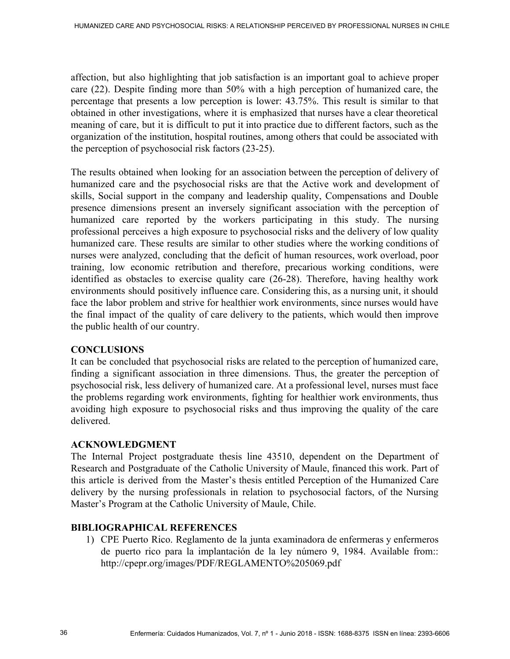affection, but also highlighting that job satisfaction is an important goal to achieve proper care (22). Despite finding more than 50% with a high perception of humanized care, the percentage that presents a low perception is lower: 43.75%. This result is similar to that obtained in other investigations, where it is emphasized that nurses have a clear theoretical meaning of care, but it is difficult to put it into practice due to different factors, such as the organization of the institution, hospital routines, among others that could be associated with the perception of psychosocial risk factors (23-25).

The results obtained when looking for an association between the perception of delivery of humanized care and the psychosocial risks are that the Active work and development of skills, Social support in the company and leadership quality, Compensations and Double presence dimensions present an inversely significant association with the perception of humanized care reported by the workers participating in this study. The nursing professional perceives a high exposure to psychosocial risks and the delivery of low quality humanized care. These results are similar to other studies where the working conditions of nurses were analyzed, concluding that the deficit of human resources, work overload, poor training, low economic retribution and therefore, precarious working conditions, were identified as obstacles to exercise quality care (26-28). Therefore, having healthy work environments should positively influence care. Considering this, as a nursing unit, it should face the labor problem and strive for healthier work environments, since nurses would have the final impact of the quality of care delivery to the patients, which would then improve the public health of our country.

## **CONCLUSIONS**

It can be concluded that psychosocial risks are related to the perception of humanized care, finding a significant association in three dimensions. Thus, the greater the perception of psychosocial risk, less delivery of humanized care. At a professional level, nurses must face the problems regarding work environments, fighting for healthier work environments, thus avoiding high exposure to psychosocial risks and thus improving the quality of the care delivered.

#### **ACKNOWLEDGMENT**

The Internal Project postgraduate thesis line 43510, dependent on the Department of Research and Postgraduate of the Catholic University of Maule, financed this work. Part of this article is derived from the Master's thesis entitled Perception of the Humanized Care delivery by the nursing professionals in relation to psychosocial factors, of the Nursing Master's Program at the Catholic University of Maule, Chile.

# **BIBLIOGRAPHICAL REFERENCES**

1) CPE Puerto Rico. Reglamento de la junta examinadora de enfermeras y enfermeros de puerto rico para la implantación de la ley número 9, 1984. Available from:: http://cpepr.org/images/PDF/REGLAMENTO%205069.pdf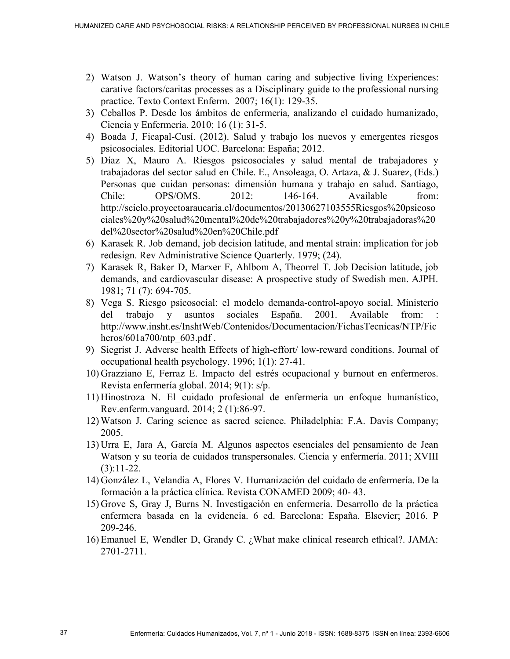- 2) Watson J. Watson's theory of human caring and subjective living Experiences: carative factors/caritas processes as a Disciplinary guide to the professional nursing practice. Texto Context Enferm. 2007; 16(1): 129-35.
- 3) Ceballos P. Desde los ámbitos de enfermería, analizando el cuidado humanizado, Ciencia y Enfermería. 2010; 16 (1): 31-5.
- 4) Boada J, Ficapal-Cusí. (2012). Salud y trabajo los nuevos y emergentes riesgos psicosociales. Editorial UOC. Barcelona: España; 2012.
- 5) Díaz X, Mauro A. Riesgos psicosociales y salud mental de trabajadores y trabajadoras del sector salud en Chile. E., Ansoleaga, O. Artaza, & J. Suarez, (Eds.) Personas que cuidan personas: dimensión humana y trabajo en salud. Santiago, Chile: OPS/OMS. 2012: 146-164. Available from: http://scielo.proyectoaraucaria.cl/documentos/20130627103555Riesgos%20psicoso ciales%20y%20salud%20mental%20de%20trabajadores%20y%20trabajadoras%20 del%20sector%20salud%20en%20Chile.pdf
- 6) Karasek R. Job demand, job decision latitude, and mental strain: implication for job redesign. Rev Administrative Science Quarterly. 1979; (24).
- 7) Karasek R, Baker D, Marxer F, Ahlbom A, Theorrel T. Job Decision latitude, job demands, and cardiovascular disease: A prospective study of Swedish men. AJPH. 1981; 71 (7): 694-705.
- 8) Vega S. Riesgo psicosocial: el modelo demanda-control-apoyo social. Ministerio del trabajo y asuntos sociales España. 2001. Available from: http://www.insht.es/InshtWeb/Contenidos/Documentacion/FichasTecnicas/NTP/Fic heros/601a700/ntp\_603.pdf.
- 9) Siegrist J. Adverse health Effects of high-effort/ low-reward conditions. Journal of occupational health psychology. 1996; 1(1): 27-41.
- 10) Grazziano E, Ferraz E. Impacto del estrés ocupacional y burnout en enfermeros. Revista enfermería global. 2014; 9(1): s/p.
- 11) Hinostroza N. El cuidado profesional de enfermería un enfoque humanístico, Rev.enferm.vanguard. 2014; 2 (1):86-97.
- 12) Watson J. Caring science as sacred science. Philadelphia: F.A. Davis Company; 2005.
- 13) Urra E, Jara A, García M. Algunos aspectos esenciales del pensamiento de Jean Watson y su teoría de cuidados transpersonales. Ciencia y enfermería. 2011; XVIII  $(3):11-22.$
- 14) González L, Velandia A, Flores V. Humanización del cuidado de enfermería. De la formación a la práctica clínica. Revista CONAMED 2009; 40- 43.
- 15) Grove S, Gray J, Burns N. Investigación en enfermería. Desarrollo de la práctica enfermera basada en la evidencia. 6 ed. Barcelona: España. Elsevier; 2016. P 209-246.
- 16) Emanuel E, Wendler D, Grandy C. ¿What make clinical research ethical?. JAMA: 2701-2711.